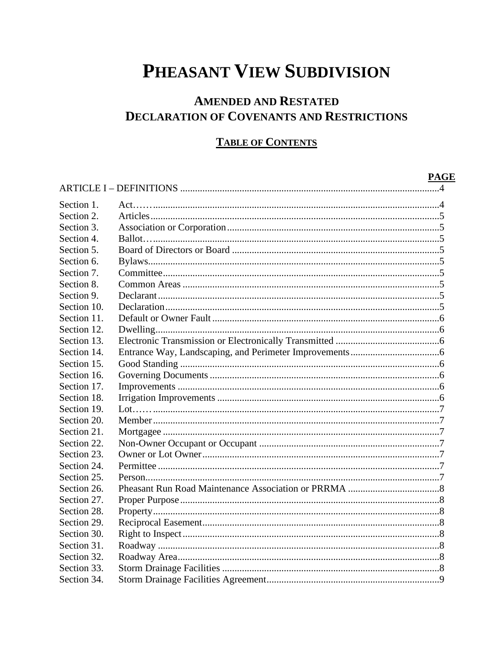## PHEASANT VIEW SUBDIVISION

## **AMENDED AND RESTATED DECLARATION OF COVENANTS AND RESTRICTIONS**

## **TABLE OF CONTENTS**

|                          | <b>PAGE</b> |
|--------------------------|-------------|
|                          |             |
| Section 1.<br>Section 2. |             |
|                          |             |
| Section 3.<br>Section 4. |             |
| Section 5.               |             |
|                          |             |
| Section 6.               |             |
| Section 7.               |             |
| Section 8.               |             |
| Section 9.               |             |
| Section 10.              |             |
| Section 11.              |             |
| Section 12.              |             |
| Section 13.              |             |
| Section 14.              |             |
| Section 15.              |             |
| Section 16.              |             |
| Section 17.              |             |
| Section 18.              |             |
| Section 19.              |             |
| Section 20.              |             |
| Section 21.              |             |
| Section 22.              |             |
| Section 23.              |             |
| Section 24.              |             |
| Section 25.              |             |
| Section 26.              |             |
| Section 27.              |             |
| Section 28.              |             |
| Section 29.              |             |
| Section 30.              |             |
| Section 31.              |             |
| Section 32.              |             |
| Section 33.              |             |
| Section 34.              |             |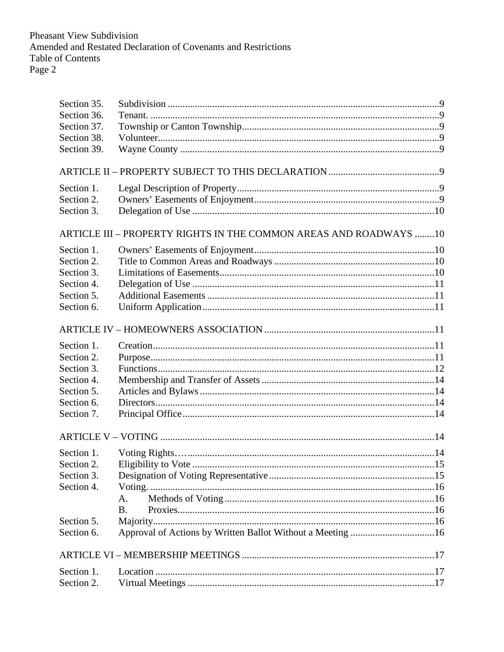| Section 35. |                                                                   |  |
|-------------|-------------------------------------------------------------------|--|
| Section 36. |                                                                   |  |
| Section 37. |                                                                   |  |
| Section 38. |                                                                   |  |
| Section 39. |                                                                   |  |
|             |                                                                   |  |
| Section 1.  |                                                                   |  |
| Section 2.  |                                                                   |  |
| Section 3.  |                                                                   |  |
|             | ARTICLE III - PROPERTY RIGHTS IN THE COMMON AREAS AND ROADWAYS 10 |  |
| Section 1.  |                                                                   |  |
| Section 2.  |                                                                   |  |
| Section 3.  |                                                                   |  |
| Section 4.  |                                                                   |  |
| Section 5.  |                                                                   |  |
| Section 6.  |                                                                   |  |
|             |                                                                   |  |
| Section 1.  |                                                                   |  |
| Section 2.  |                                                                   |  |
| Section 3.  |                                                                   |  |
| Section 4.  |                                                                   |  |
| Section 5.  |                                                                   |  |
| Section 6.  |                                                                   |  |
| Section 7.  |                                                                   |  |
|             |                                                                   |  |
| Section 1.  |                                                                   |  |
| Section 2.  |                                                                   |  |
| Section 3.  |                                                                   |  |
| Section 4.  |                                                                   |  |
|             | А.                                                                |  |
|             | <b>B.</b>                                                         |  |
| Section 5.  |                                                                   |  |
| Section 6.  |                                                                   |  |
|             |                                                                   |  |
| Section 1.  |                                                                   |  |
| Section 2.  |                                                                   |  |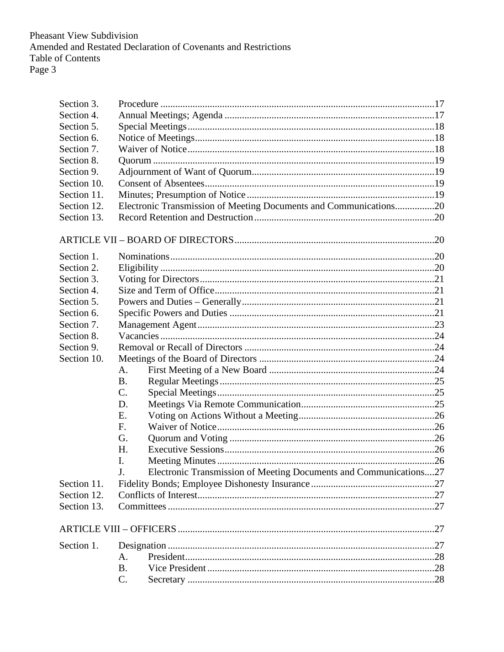| Section 3.  |                                                                         |  |
|-------------|-------------------------------------------------------------------------|--|
| Section 4.  |                                                                         |  |
| Section 5.  |                                                                         |  |
| Section 6.  |                                                                         |  |
| Section 7.  |                                                                         |  |
| Section 8.  |                                                                         |  |
| Section 9.  |                                                                         |  |
| Section 10. |                                                                         |  |
| Section 11. |                                                                         |  |
| Section 12. | Electronic Transmission of Meeting Documents and Communications20       |  |
| Section 13. |                                                                         |  |
|             |                                                                         |  |
| Section 1.  |                                                                         |  |
| Section 2.  |                                                                         |  |
| Section 3.  |                                                                         |  |
| Section 4.  |                                                                         |  |
| Section 5.  |                                                                         |  |
| Section 6.  |                                                                         |  |
| Section 7.  |                                                                         |  |
| Section 8.  |                                                                         |  |
| Section 9.  |                                                                         |  |
| Section 10. |                                                                         |  |
|             | A.                                                                      |  |
|             | <b>B.</b>                                                               |  |
|             | $C$ .                                                                   |  |
|             | D.                                                                      |  |
|             | Ε.                                                                      |  |
|             | F.                                                                      |  |
|             | G.                                                                      |  |
|             | Η.                                                                      |  |
|             | I.                                                                      |  |
|             | Electronic Transmission of Meeting Documents and Communications27<br>J. |  |
| Section 11. |                                                                         |  |
| Section 12. |                                                                         |  |
| Section 13. |                                                                         |  |
|             |                                                                         |  |
| Section 1.  |                                                                         |  |
|             | A.                                                                      |  |
|             | <b>B.</b>                                                               |  |
|             | C.                                                                      |  |
|             |                                                                         |  |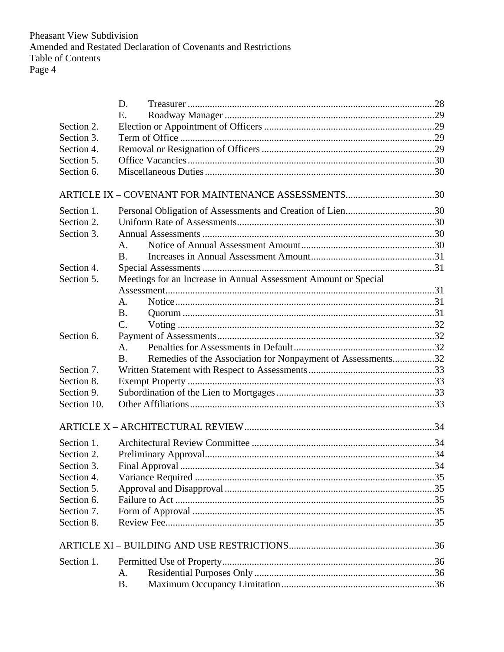|             | D.                                                                       |  |
|-------------|--------------------------------------------------------------------------|--|
|             | Ε.                                                                       |  |
| Section 2.  |                                                                          |  |
| Section 3.  |                                                                          |  |
| Section 4.  |                                                                          |  |
| Section 5.  |                                                                          |  |
| Section 6.  |                                                                          |  |
|             | ARTICLE IX - COVENANT FOR MAINTENANCE ASSESSMENTS30                      |  |
| Section 1.  |                                                                          |  |
| Section 2.  |                                                                          |  |
| Section 3.  |                                                                          |  |
|             | $A_{\cdot}$                                                              |  |
|             | <b>B.</b>                                                                |  |
| Section 4.  |                                                                          |  |
| Section 5.  | Meetings for an Increase in Annual Assessment Amount or Special          |  |
|             |                                                                          |  |
|             | A.                                                                       |  |
|             | B <sub>1</sub>                                                           |  |
|             | $\mathbf{C}$ .                                                           |  |
| Section 6.  |                                                                          |  |
|             | A <sub>1</sub>                                                           |  |
|             | Remedies of the Association for Nonpayment of Assessments32<br><b>B.</b> |  |
| Section 7.  |                                                                          |  |
| Section 8.  |                                                                          |  |
| Section 9.  |                                                                          |  |
| Section 10. |                                                                          |  |
|             |                                                                          |  |
| Section 1.  |                                                                          |  |
| Section 2.  |                                                                          |  |
| Section 3.  |                                                                          |  |
| Section 4.  |                                                                          |  |
| Section 5.  |                                                                          |  |
| Section 6.  |                                                                          |  |
| Section 7.  |                                                                          |  |
| Section 8.  |                                                                          |  |
|             |                                                                          |  |
|             |                                                                          |  |
| Section 1.  |                                                                          |  |
|             | A.                                                                       |  |
|             | <b>B.</b>                                                                |  |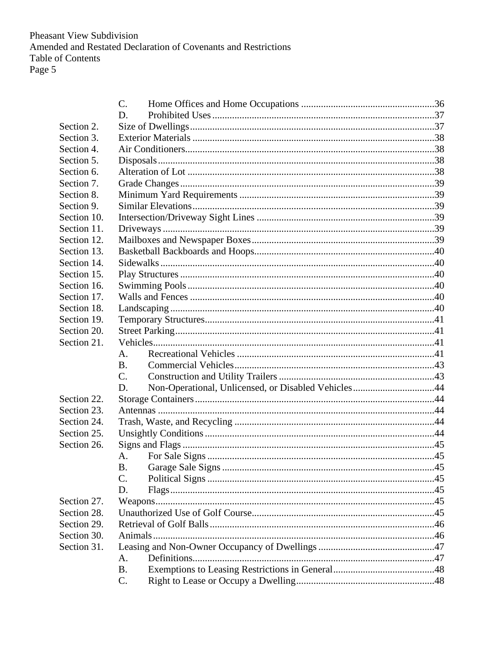|             | $\mathcal{C}$ .                                           |  |
|-------------|-----------------------------------------------------------|--|
|             | D.                                                        |  |
| Section 2.  |                                                           |  |
| Section 3.  |                                                           |  |
| Section 4.  |                                                           |  |
| Section 5.  |                                                           |  |
| Section 6.  |                                                           |  |
| Section 7.  |                                                           |  |
| Section 8.  |                                                           |  |
| Section 9.  |                                                           |  |
| Section 10. |                                                           |  |
| Section 11. |                                                           |  |
| Section 12. |                                                           |  |
| Section 13. |                                                           |  |
| Section 14. |                                                           |  |
| Section 15. |                                                           |  |
| Section 16. |                                                           |  |
| Section 17. |                                                           |  |
| Section 18. |                                                           |  |
| Section 19. |                                                           |  |
| Section 20. |                                                           |  |
| Section 21. |                                                           |  |
|             | A.                                                        |  |
|             | <b>B.</b>                                                 |  |
|             | $C_{\cdot}$                                               |  |
|             | Non-Operational, Unlicensed, or Disabled Vehicles44<br>D. |  |
| Section 22. |                                                           |  |
| Section 23. |                                                           |  |
| Section 24. |                                                           |  |
| Section 25. |                                                           |  |
| Section 26. |                                                           |  |
|             | A.                                                        |  |
|             | <b>B.</b>                                                 |  |
|             | $\mathcal{C}$ .                                           |  |
|             | D.                                                        |  |
| Section 27. |                                                           |  |
| Section 28. |                                                           |  |
| Section 29. |                                                           |  |
| Section 30. |                                                           |  |
| Section 31. |                                                           |  |
|             | A.                                                        |  |
|             | <b>B.</b>                                                 |  |
|             | C.                                                        |  |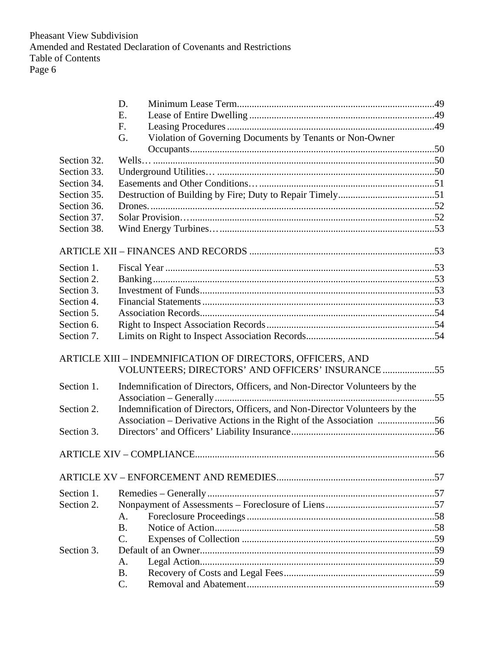|             | D.                                                                         |  |
|-------------|----------------------------------------------------------------------------|--|
|             | Ε.                                                                         |  |
|             | F.                                                                         |  |
|             | Violation of Governing Documents by Tenants or Non-Owner<br>G.             |  |
|             |                                                                            |  |
| Section 32. |                                                                            |  |
| Section 33. |                                                                            |  |
| Section 34. |                                                                            |  |
| Section 35. |                                                                            |  |
| Section 36. |                                                                            |  |
| Section 37. |                                                                            |  |
| Section 38. |                                                                            |  |
|             |                                                                            |  |
| Section 1.  |                                                                            |  |
| Section 2.  |                                                                            |  |
| Section 3.  |                                                                            |  |
| Section 4.  |                                                                            |  |
| Section 5.  |                                                                            |  |
| Section 6.  |                                                                            |  |
| Section 7.  |                                                                            |  |
|             | ARTICLE XIII - INDEMNIFICATION OF DIRECTORS, OFFICERS, AND                 |  |
|             | VOLUNTEERS; DIRECTORS' AND OFFICERS' INSURANCE 55                          |  |
| Section 1.  | Indemnification of Directors, Officers, and Non-Director Volunteers by the |  |
|             |                                                                            |  |
| Section 2.  | Indemnification of Directors, Officers, and Non-Director Volunteers by the |  |
|             | Association - Derivative Actions in the Right of the Association 56        |  |
| Section 3.  |                                                                            |  |
|             |                                                                            |  |
|             |                                                                            |  |
| Section 1.  |                                                                            |  |
| Section 2.  |                                                                            |  |
|             | А.                                                                         |  |
|             | <b>B.</b>                                                                  |  |
|             | $\overline{C}$ .                                                           |  |
| Section 3.  |                                                                            |  |
|             | A.                                                                         |  |
|             | <b>B.</b>                                                                  |  |
|             | C.                                                                         |  |